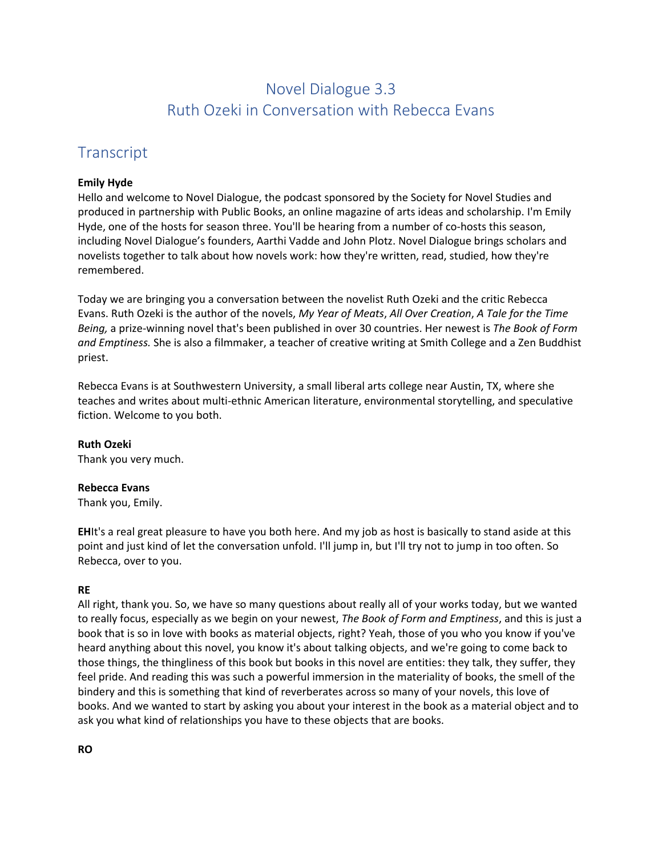# Novel Dialogue 3.3 Ruth Ozeki in Conversation with Rebecca Evans

# **Transcript**

### **Emily Hyde**

Hello and welcome to Novel Dialogue, the podcast sponsored by the Society for Novel Studies and produced in partnership with Public Books, an online magazine of arts ideas and scholarship. I'm Emily Hyde, one of the hosts for season three. You'll be hearing from a number of co-hosts this season, including Novel Dialogue's founders, Aarthi Vadde and John Plotz. Novel Dialogue brings scholars and novelists together to talk about how novels work: how they're written, read, studied, how they're remembered.

Today we are bringing you a conversation between the novelist Ruth Ozeki and the critic Rebecca Evans. Ruth Ozeki is the author of the novels, *My Year of Meats*, *All Over Creation*, *A Tale for the Time Being,* a prize-winning novel that's been published in over 30 countries. Her newest is *The Book of Form and Emptiness.* She is also a filmmaker, a teacher of creative writing at Smith College and a Zen Buddhist priest.

Rebecca Evans is at Southwestern University, a small liberal arts college near Austin, TX, where she teaches and writes about multi-ethnic American literature, environmental storytelling, and speculative fiction. Welcome to you both.

# **Ruth Ozeki**

Thank you very much.

### **Rebecca Evans**

Thank you, Emily.

**EH**It's a real great pleasure to have you both here. And my job as host is basically to stand aside at this point and just kind of let the conversation unfold. I'll jump in, but I'll try not to jump in too often. So Rebecca, over to you.

# **RE**

All right, thank you. So, we have so many questions about really all of your works today, but we wanted to really focus, especially as we begin on your newest, *The Book of Form and Emptiness*, and this is just a book that is so in love with books as material objects, right? Yeah, those of you who you know if you've heard anything about this novel, you know it's about talking objects, and we're going to come back to those things, the thingliness of this book but books in this novel are entities: they talk, they suffer, they feel pride. And reading this was such a powerful immersion in the materiality of books, the smell of the bindery and this is something that kind of reverberates across so many of your novels, this love of books. And we wanted to start by asking you about your interest in the book as a material object and to ask you what kind of relationships you have to these objects that are books.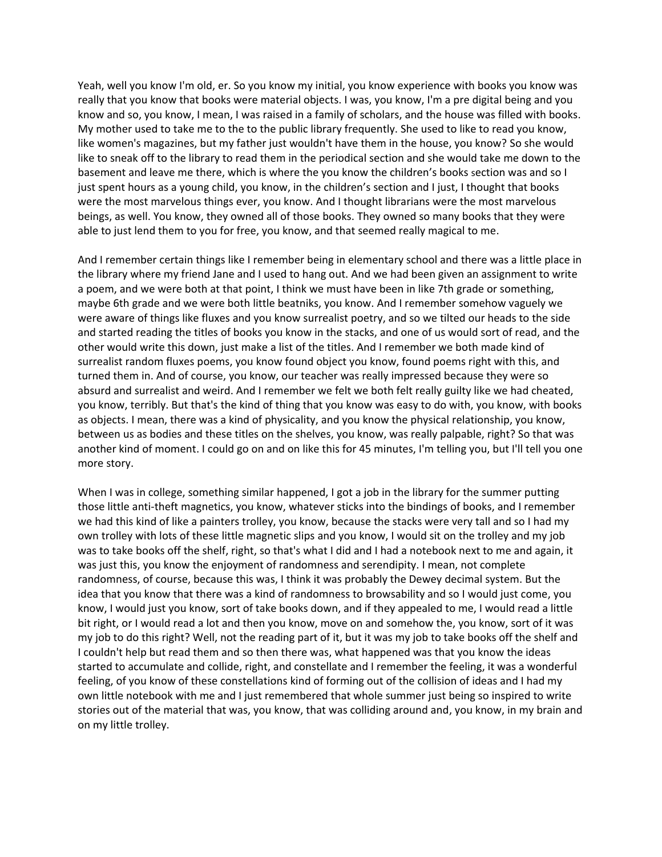Yeah, well you know I'm old, er. So you know my initial, you know experience with books you know was really that you know that books were material objects. I was, you know, I'm a pre digital being and you know and so, you know, I mean, I was raised in a family of scholars, and the house was filled with books. My mother used to take me to the to the public library frequently. She used to like to read you know, like women's magazines, but my father just wouldn't have them in the house, you know? So she would like to sneak off to the library to read them in the periodical section and she would take me down to the basement and leave me there, which is where the you know the children's books section was and so I just spent hours as a young child, you know, in the children's section and I just, I thought that books were the most marvelous things ever, you know. And I thought librarians were the most marvelous beings, as well. You know, they owned all of those books. They owned so many books that they were able to just lend them to you for free, you know, and that seemed really magical to me.

And I remember certain things like I remember being in elementary school and there was a little place in the library where my friend Jane and I used to hang out. And we had been given an assignment to write a poem, and we were both at that point, I think we must have been in like 7th grade or something, maybe 6th grade and we were both little beatniks, you know. And I remember somehow vaguely we were aware of things like fluxes and you know surrealist poetry, and so we tilted our heads to the side and started reading the titles of books you know in the stacks, and one of us would sort of read, and the other would write this down, just make a list of the titles. And I remember we both made kind of surrealist random fluxes poems, you know found object you know, found poems right with this, and turned them in. And of course, you know, our teacher was really impressed because they were so absurd and surrealist and weird. And I remember we felt we both felt really guilty like we had cheated, you know, terribly. But that's the kind of thing that you know was easy to do with, you know, with books as objects. I mean, there was a kind of physicality, and you know the physical relationship, you know, between us as bodies and these titles on the shelves, you know, was really palpable, right? So that was another kind of moment. I could go on and on like this for 45 minutes, I'm telling you, but I'll tell you one more story.

When I was in college, something similar happened, I got a job in the library for the summer putting those little anti-theft magnetics, you know, whatever sticks into the bindings of books, and I remember we had this kind of like a painters trolley, you know, because the stacks were very tall and so I had my own trolley with lots of these little magnetic slips and you know, I would sit on the trolley and my job was to take books off the shelf, right, so that's what I did and I had a notebook next to me and again, it was just this, you know the enjoyment of randomness and serendipity. I mean, not complete randomness, of course, because this was, I think it was probably the Dewey decimal system. But the idea that you know that there was a kind of randomness to browsability and so I would just come, you know, I would just you know, sort of take books down, and if they appealed to me, I would read a little bit right, or I would read a lot and then you know, move on and somehow the, you know, sort of it was my job to do this right? Well, not the reading part of it, but it was my job to take books off the shelf and I couldn't help but read them and so then there was, what happened was that you know the ideas started to accumulate and collide, right, and constellate and I remember the feeling, it was a wonderful feeling, of you know of these constellations kind of forming out of the collision of ideas and I had my own little notebook with me and I just remembered that whole summer just being so inspired to write stories out of the material that was, you know, that was colliding around and, you know, in my brain and on my little trolley.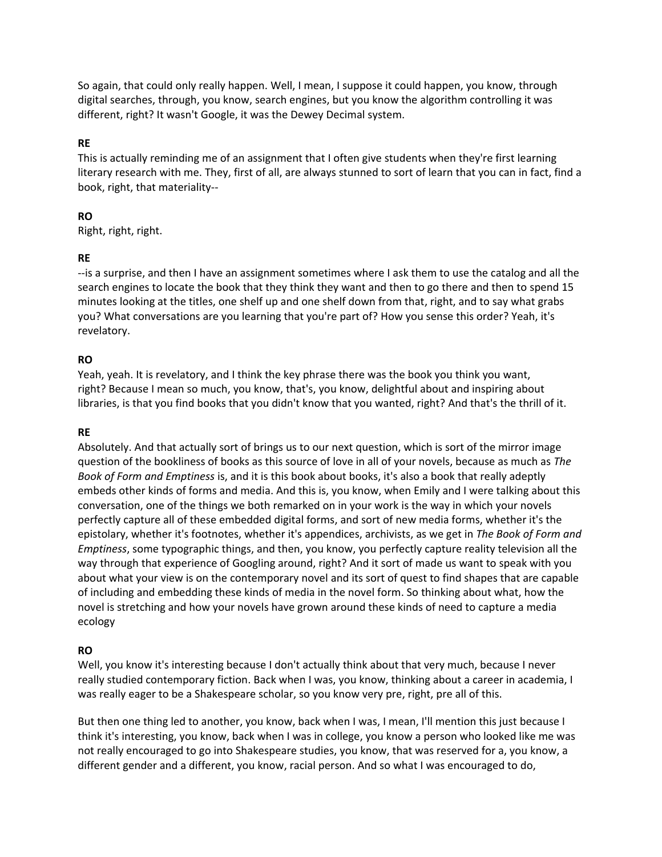So again, that could only really happen. Well, I mean, I suppose it could happen, you know, through digital searches, through, you know, search engines, but you know the algorithm controlling it was different, right? It wasn't Google, it was the Dewey Decimal system.

### **RE**

This is actually reminding me of an assignment that I often give students when they're first learning literary research with me. They, first of all, are always stunned to sort of learn that you can in fact, find a book, right, that materiality--

# **RO**

Right, right, right.

### **RE**

--is a surprise, and then I have an assignment sometimes where I ask them to use the catalog and all the search engines to locate the book that they think they want and then to go there and then to spend 15 minutes looking at the titles, one shelf up and one shelf down from that, right, and to say what grabs you? What conversations are you learning that you're part of? How you sense this order? Yeah, it's revelatory.

### **RO**

Yeah, yeah. It is revelatory, and I think the key phrase there was the book you think you want, right? Because I mean so much, you know, that's, you know, delightful about and inspiring about libraries, is that you find books that you didn't know that you wanted, right? And that's the thrill of it.

### **RE**

Absolutely. And that actually sort of brings us to our next question, which is sort of the mirror image question of the bookliness of books as this source of love in all of your novels, because as much as *The Book of Form and Emptiness* is, and it is this book about books, it's also a book that really adeptly embeds other kinds of forms and media. And this is, you know, when Emily and I were talking about this conversation, one of the things we both remarked on in your work is the way in which your novels perfectly capture all of these embedded digital forms, and sort of new media forms, whether it's the epistolary, whether it's footnotes, whether it's appendices, archivists, as we get in *The Book of Form and Emptiness*, some typographic things, and then, you know, you perfectly capture reality television all the way through that experience of Googling around, right? And it sort of made us want to speak with you about what your view is on the contemporary novel and its sort of quest to find shapes that are capable of including and embedding these kinds of media in the novel form. So thinking about what, how the novel is stretching and how your novels have grown around these kinds of need to capture a media ecology

# **RO**

Well, you know it's interesting because I don't actually think about that very much, because I never really studied contemporary fiction. Back when I was, you know, thinking about a career in academia, I was really eager to be a Shakespeare scholar, so you know very pre, right, pre all of this.

But then one thing led to another, you know, back when I was, I mean, I'll mention this just because I think it's interesting, you know, back when I was in college, you know a person who looked like me was not really encouraged to go into Shakespeare studies, you know, that was reserved for a, you know, a different gender and a different, you know, racial person. And so what I was encouraged to do,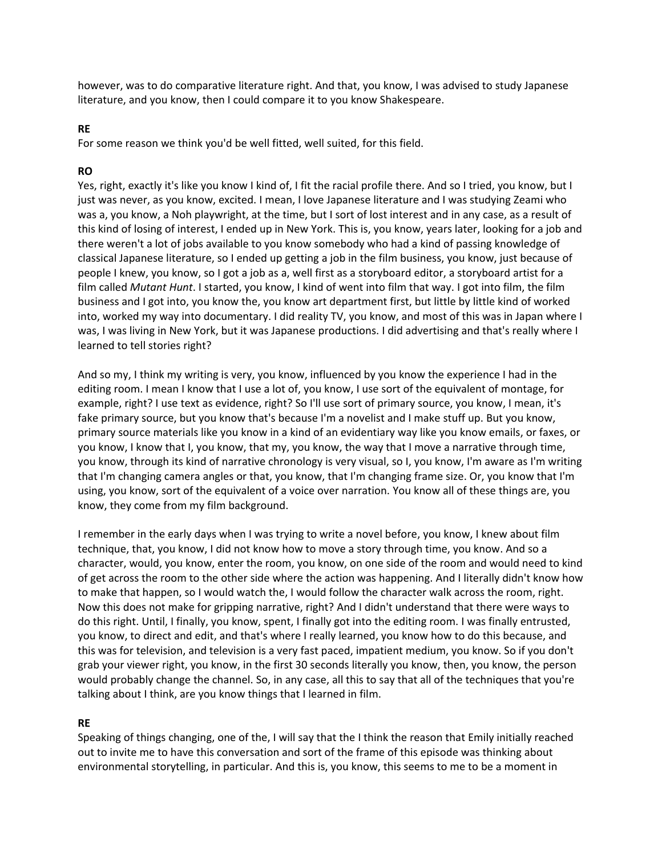however, was to do comparative literature right. And that, you know, I was advised to study Japanese literature, and you know, then I could compare it to you know Shakespeare.

### **RE**

For some reason we think you'd be well fitted, well suited, for this field.

### **RO**

Yes, right, exactly it's like you know I kind of, I fit the racial profile there. And so I tried, you know, but I just was never, as you know, excited. I mean, I love Japanese literature and I was studying Zeami who was a, you know, a Noh playwright, at the time, but I sort of lost interest and in any case, as a result of this kind of losing of interest, I ended up in New York. This is, you know, years later, looking for a job and there weren't a lot of jobs available to you know somebody who had a kind of passing knowledge of classical Japanese literature, so I ended up getting a job in the film business, you know, just because of people I knew, you know, so I got a job as a, well first as a storyboard editor, a storyboard artist for a film called *Mutant Hunt*. I started, you know, I kind of went into film that way. I got into film, the film business and I got into, you know the, you know art department first, but little by little kind of worked into, worked my way into documentary. I did reality TV, you know, and most of this was in Japan where I was, I was living in New York, but it was Japanese productions. I did advertising and that's really where I learned to tell stories right?

And so my, I think my writing is very, you know, influenced by you know the experience I had in the editing room. I mean I know that I use a lot of, you know, I use sort of the equivalent of montage, for example, right? I use text as evidence, right? So I'll use sort of primary source, you know, I mean, it's fake primary source, but you know that's because I'm a novelist and I make stuff up. But you know, primary source materials like you know in a kind of an evidentiary way like you know emails, or faxes, or you know, I know that I, you know, that my, you know, the way that I move a narrative through time, you know, through its kind of narrative chronology is very visual, so I, you know, I'm aware as I'm writing that I'm changing camera angles or that, you know, that I'm changing frame size. Or, you know that I'm using, you know, sort of the equivalent of a voice over narration. You know all of these things are, you know, they come from my film background.

I remember in the early days when I was trying to write a novel before, you know, I knew about film technique, that, you know, I did not know how to move a story through time, you know. And so a character, would, you know, enter the room, you know, on one side of the room and would need to kind of get across the room to the other side where the action was happening. And I literally didn't know how to make that happen, so I would watch the, I would follow the character walk across the room, right. Now this does not make for gripping narrative, right? And I didn't understand that there were ways to do this right. Until, I finally, you know, spent, I finally got into the editing room. I was finally entrusted, you know, to direct and edit, and that's where I really learned, you know how to do this because, and this was for television, and television is a very fast paced, impatient medium, you know. So if you don't grab your viewer right, you know, in the first 30 seconds literally you know, then, you know, the person would probably change the channel. So, in any case, all this to say that all of the techniques that you're talking about I think, are you know things that I learned in film.

#### **RE**

Speaking of things changing, one of the, I will say that the I think the reason that Emily initially reached out to invite me to have this conversation and sort of the frame of this episode was thinking about environmental storytelling, in particular. And this is, you know, this seems to me to be a moment in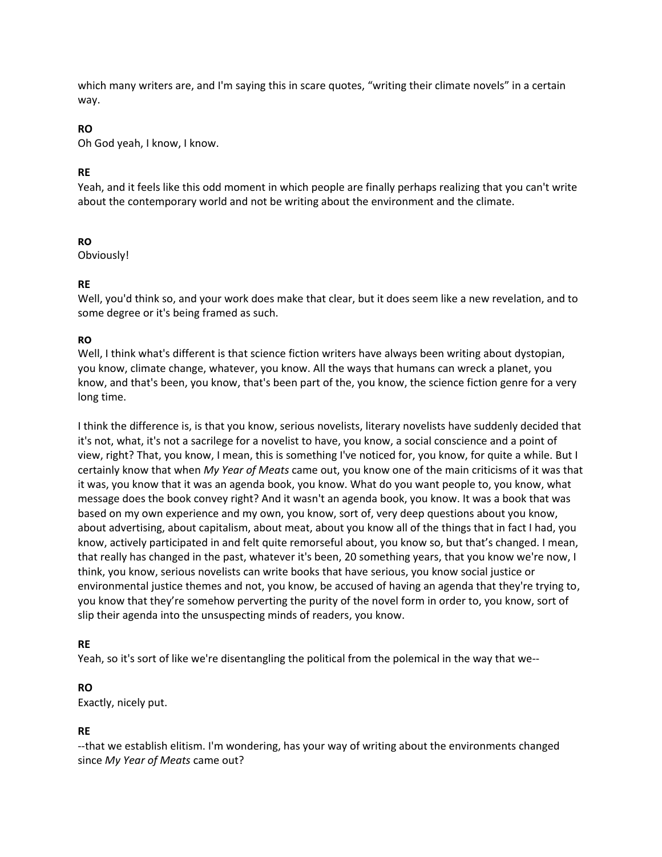which many writers are, and I'm saying this in scare quotes, "writing their climate novels" in a certain way.

# **RO**

Oh God yeah, I know, I know.

# **RE**

Yeah, and it feels like this odd moment in which people are finally perhaps realizing that you can't write about the contemporary world and not be writing about the environment and the climate.

# **RO**

Obviously!

# **RE**

Well, you'd think so, and your work does make that clear, but it does seem like a new revelation, and to some degree or it's being framed as such.

# **RO**

Well, I think what's different is that science fiction writers have always been writing about dystopian, you know, climate change, whatever, you know. All the ways that humans can wreck a planet, you know, and that's been, you know, that's been part of the, you know, the science fiction genre for a very long time.

I think the difference is, is that you know, serious novelists, literary novelists have suddenly decided that it's not, what, it's not a sacrilege for a novelist to have, you know, a social conscience and a point of view, right? That, you know, I mean, this is something I've noticed for, you know, for quite a while. But I certainly know that when *My Year of Meats* came out, you know one of the main criticisms of it was that it was, you know that it was an agenda book, you know. What do you want people to, you know, what message does the book convey right? And it wasn't an agenda book, you know. It was a book that was based on my own experience and my own, you know, sort of, very deep questions about you know, about advertising, about capitalism, about meat, about you know all of the things that in fact I had, you know, actively participated in and felt quite remorseful about, you know so, but that's changed. I mean, that really has changed in the past, whatever it's been, 20 something years, that you know we're now, I think, you know, serious novelists can write books that have serious, you know social justice or environmental justice themes and not, you know, be accused of having an agenda that they're trying to, you know that they're somehow perverting the purity of the novel form in order to, you know, sort of slip their agenda into the unsuspecting minds of readers, you know.

# **RE**

Yeah, so it's sort of like we're disentangling the political from the polemical in the way that we--

# **RO**

Exactly, nicely put.

# **RE**

--that we establish elitism. I'm wondering, has your way of writing about the environments changed since *My Year of Meats* came out?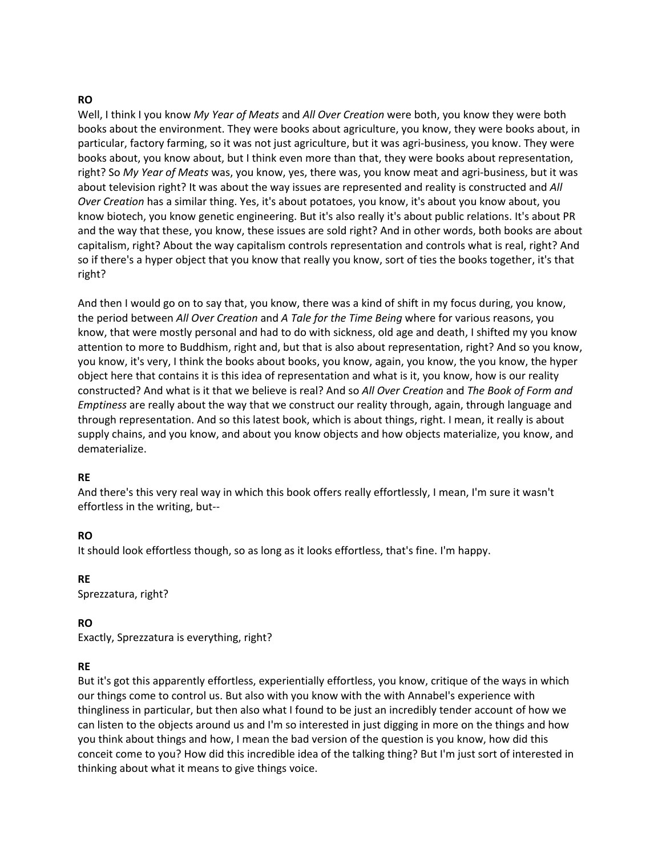### **RO**

Well, I think I you know *My Year of Meats* and *All Over Creation* were both, you know they were both books about the environment. They were books about agriculture, you know, they were books about, in particular, factory farming, so it was not just agriculture, but it was agri-business, you know. They were books about, you know about, but I think even more than that, they were books about representation, right? So *My Year of Meats* was, you know, yes, there was, you know meat and agri-business, but it was about television right? It was about the way issues are represented and reality is constructed and *All Over Creation* has a similar thing. Yes, it's about potatoes, you know, it's about you know about, you know biotech, you know genetic engineering. But it's also really it's about public relations. It's about PR and the way that these, you know, these issues are sold right? And in other words, both books are about capitalism, right? About the way capitalism controls representation and controls what is real, right? And so if there's a hyper object that you know that really you know, sort of ties the books together, it's that right?

And then I would go on to say that, you know, there was a kind of shift in my focus during, you know, the period between *All Over Creation* and *A Tale for the Time Being* where for various reasons, you know, that were mostly personal and had to do with sickness, old age and death, I shifted my you know attention to more to Buddhism, right and, but that is also about representation, right? And so you know, you know, it's very, I think the books about books, you know, again, you know, the you know, the hyper object here that contains it is this idea of representation and what is it, you know, how is our reality constructed? And what is it that we believe is real? And so *All Over Creation* and *The Book of Form and Emptiness* are really about the way that we construct our reality through, again, through language and through representation. And so this latest book, which is about things, right. I mean, it really is about supply chains, and you know, and about you know objects and how objects materialize, you know, and dematerialize.

#### **RE**

And there's this very real way in which this book offers really effortlessly, I mean, I'm sure it wasn't effortless in the writing, but--

### **RO**

It should look effortless though, so as long as it looks effortless, that's fine. I'm happy.

**RE** Sprezzatura, right?

### **RO**

Exactly, Sprezzatura is everything, right?

### **RE**

But it's got this apparently effortless, experientially effortless, you know, critique of the ways in which our things come to control us. But also with you know with the with Annabel's experience with thingliness in particular, but then also what I found to be just an incredibly tender account of how we can listen to the objects around us and I'm so interested in just digging in more on the things and how you think about things and how, I mean the bad version of the question is you know, how did this conceit come to you? How did this incredible idea of the talking thing? But I'm just sort of interested in thinking about what it means to give things voice.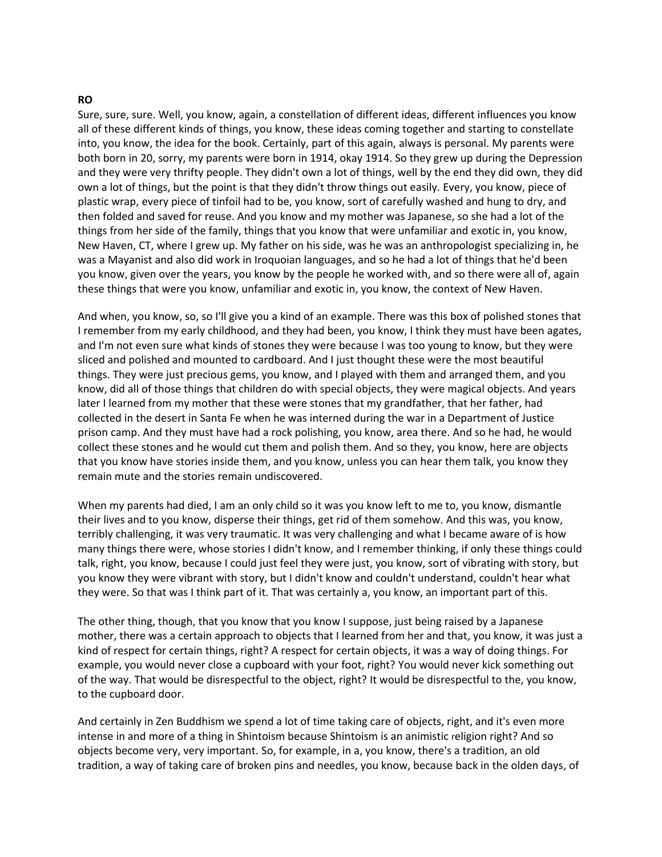#### **RO**

Sure, sure, sure. Well, you know, again, a constellation of different ideas, different influences you know all of these different kinds of things, you know, these ideas coming together and starting to constellate into, you know, the idea for the book. Certainly, part of this again, always is personal. My parents were both born in 20, sorry, my parents were born in 1914, okay 1914. So they grew up during the Depression and they were very thrifty people. They didn't own a lot of things, well by the end they did own, they did own a lot of things, but the point is that they didn't throw things out easily. Every, you know, piece of plastic wrap, every piece of tinfoil had to be, you know, sort of carefully washed and hung to dry, and then folded and saved for reuse. And you know and my mother was Japanese, so she had a lot of the things from her side of the family, things that you know that were unfamiliar and exotic in, you know, New Haven, CT, where I grew up. My father on his side, was he was an anthropologist specializing in, he was a Mayanist and also did work in Iroquoian languages, and so he had a lot of things that he'd been you know, given over the years, you know by the people he worked with, and so there were all of, again these things that were you know, unfamiliar and exotic in, you know, the context of New Haven.

And when, you know, so, so I'll give you a kind of an example. There was this box of polished stones that I remember from my early childhood, and they had been, you know, I think they must have been agates, and I'm not even sure what kinds of stones they were because I was too young to know, but they were sliced and polished and mounted to cardboard. And I just thought these were the most beautiful things. They were just precious gems, you know, and I played with them and arranged them, and you know, did all of those things that children do with special objects, they were magical objects. And years later I learned from my mother that these were stones that my grandfather, that her father, had collected in the desert in Santa Fe when he was interned during the war in a Department of Justice prison camp. And they must have had a rock polishing, you know, area there. And so he had, he would collect these stones and he would cut them and polish them. And so they, you know, here are objects that you know have stories inside them, and you know, unless you can hear them talk, you know they remain mute and the stories remain undiscovered.

When my parents had died, I am an only child so it was you know left to me to, you know, dismantle their lives and to you know, disperse their things, get rid of them somehow. And this was, you know, terribly challenging, it was very traumatic. It was very challenging and what I became aware of is how many things there were, whose stories I didn't know, and I remember thinking, if only these things could talk, right, you know, because I could just feel they were just, you know, sort of vibrating with story, but you know they were vibrant with story, but I didn't know and couldn't understand, couldn't hear what they were. So that was I think part of it. That was certainly a, you know, an important part of this.

The other thing, though, that you know that you know I suppose, just being raised by a Japanese mother, there was a certain approach to objects that I learned from her and that, you know, it was just a kind of respect for certain things, right? A respect for certain objects, it was a way of doing things. For example, you would never close a cupboard with your foot, right? You would never kick something out of the way. That would be disrespectful to the object, right? It would be disrespectful to the, you know, to the cupboard door.

And certainly in Zen Buddhism we spend a lot of time taking care of objects, right, and it's even more intense in and more of a thing in Shintoism because Shintoism is an animistic religion right? And so objects become very, very important. So, for example, in a, you know, there's a tradition, an old tradition, a way of taking care of broken pins and needles, you know, because back in the olden days, of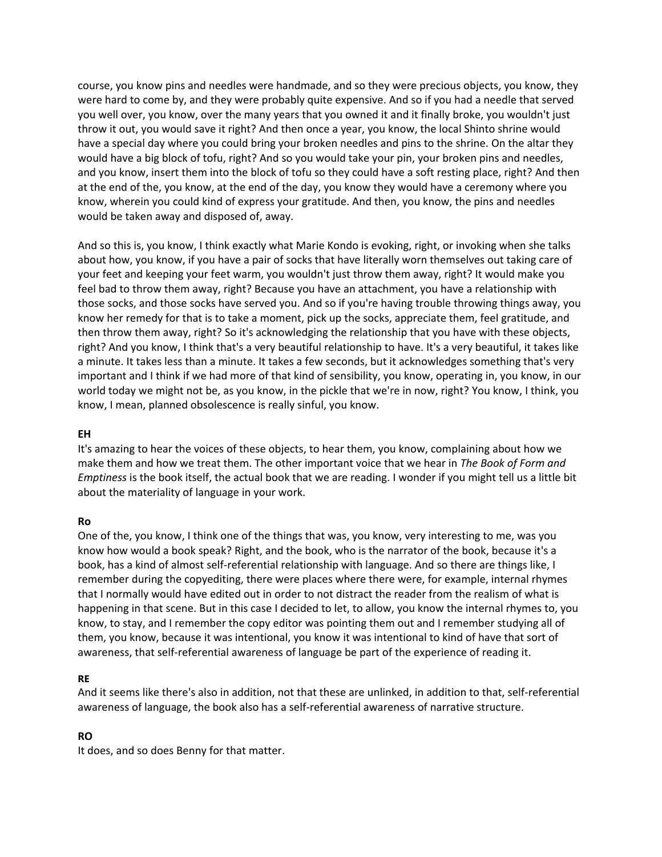course, you know pins and needles were handmade, and so they were precious objects, you know, they were hard to come by, and they were probably quite expensive. And so if you had a needle that served you well over, you know, over the many years that you owned it and it finally broke, you wouldn't just throw it out, you would save it right? And then once a year, you know, the local Shinto shrine would have a special day where you could bring your broken needles and pins to the shrine. On the altar they would have a big block of tofu, right? And so you would take your pin, your broken pins and needles, and you know, insert them into the block of tofu so they could have a soft resting place, right? And then at the end of the, you know, at the end of the day, you know they would have a ceremony where you know, wherein you could kind of express your gratitude. And then, you know, the pins and needles would be taken away and disposed of, away.

And so this is, you know, I think exactly what Marie Kondo is evoking, right, or invoking when she talks about how, you know, if you have a pair of socks that have literally worn themselves out taking care of your feet and keeping your feet warm, you wouldn't just throw them away, right? It would make you feel bad to throw them away, right? Because you have an attachment, you have a relationship with those socks, and those socks have served you. And so if you're having trouble throwing things away, you know her remedy for that is to take a moment, pick up the socks, appreciate them, feel gratitude, and then throw them away, right? So it's acknowledging the relationship that you have with these objects, right? And you know, I think that's a very beautiful relationship to have. It's a very beautiful, it takes like a minute. It takes less than a minute. It takes a few seconds, but it acknowledges something that's very important and I think if we had more of that kind of sensibility, you know, operating in, you know, in our world today we might not be, as you know, in the pickle that we're in now, right? You know, I think, you know, I mean, planned obsolescence is really sinful, you know.

#### **EH**

It's amazing to hear the voices of these objects, to hear them, you know, complaining about how we make them and how we treat them. The other important voice that we hear in *The Book of Form and Emptiness* is the book itself, the actual book that we are reading. I wonder if you might tell us a little bit about the materiality of language in your work.

### **Ro**

One of the, you know, I think one of the things that was, you know, very interesting to me, was you know how would a book speak? Right, and the book, who is the narrator of the book, because it's a book, has a kind of almost self-referential relationship with language. And so there are things like, I remember during the copyediting, there were places where there were, for example, internal rhymes that I normally would have edited out in order to not distract the reader from the realism of what is happening in that scene. But in this case I decided to let, to allow, you know the internal rhymes to, you know, to stay, and I remember the copy editor was pointing them out and I remember studying all of them, you know, because it was intentional, you know it was intentional to kind of have that sort of awareness, that self-referential awareness of language be part of the experience of reading it.

### **RE**

And it seems like there's also in addition, not that these are unlinked, in addition to that, self-referential awareness of language, the book also has a self-referential awareness of narrative structure.

### **RO**

It does, and so does Benny for that matter.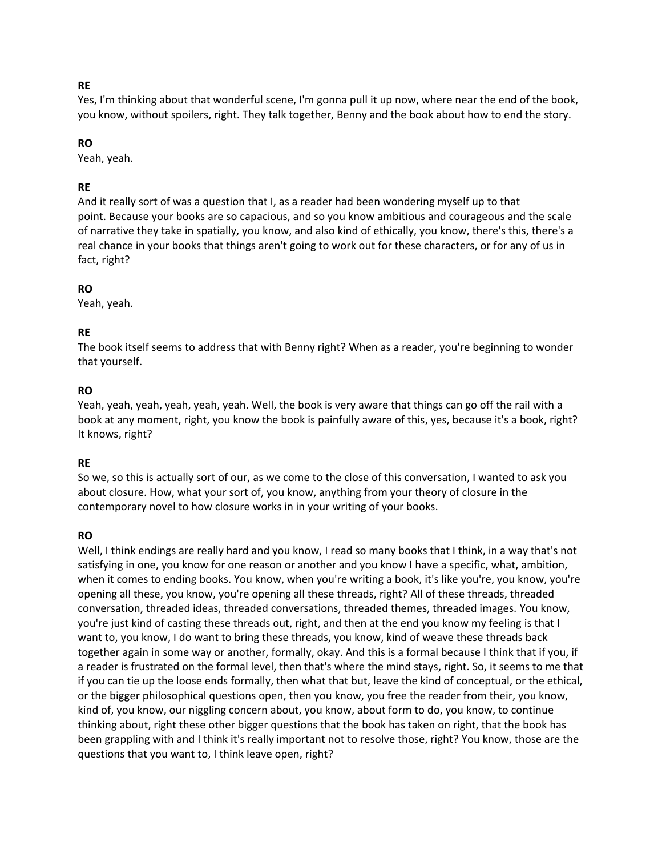### **RE**

Yes, I'm thinking about that wonderful scene, I'm gonna pull it up now, where near the end of the book, you know, without spoilers, right. They talk together, Benny and the book about how to end the story.

# **RO**

Yeah, yeah.

# **RE**

And it really sort of was a question that I, as a reader had been wondering myself up to that point. Because your books are so capacious, and so you know ambitious and courageous and the scale of narrative they take in spatially, you know, and also kind of ethically, you know, there's this, there's a real chance in your books that things aren't going to work out for these characters, or for any of us in fact, right?

# **RO**

Yeah, yeah.

# **RE**

The book itself seems to address that with Benny right? When as a reader, you're beginning to wonder that yourself.

# **RO**

Yeah, yeah, yeah, yeah, yeah, yeah. Well, the book is very aware that things can go off the rail with a book at any moment, right, you know the book is painfully aware of this, yes, because it's a book, right? It knows, right?

# **RE**

So we, so this is actually sort of our, as we come to the close of this conversation, I wanted to ask you about closure. How, what your sort of, you know, anything from your theory of closure in the contemporary novel to how closure works in in your writing of your books.

# **RO**

Well, I think endings are really hard and you know, I read so many books that I think, in a way that's not satisfying in one, you know for one reason or another and you know I have a specific, what, ambition, when it comes to ending books. You know, when you're writing a book, it's like you're, you know, you're opening all these, you know, you're opening all these threads, right? All of these threads, threaded conversation, threaded ideas, threaded conversations, threaded themes, threaded images. You know, you're just kind of casting these threads out, right, and then at the end you know my feeling is that I want to, you know, I do want to bring these threads, you know, kind of weave these threads back together again in some way or another, formally, okay. And this is a formal because I think that if you, if a reader is frustrated on the formal level, then that's where the mind stays, right. So, it seems to me that if you can tie up the loose ends formally, then what that but, leave the kind of conceptual, or the ethical, or the bigger philosophical questions open, then you know, you free the reader from their, you know, kind of, you know, our niggling concern about, you know, about form to do, you know, to continue thinking about, right these other bigger questions that the book has taken on right, that the book has been grappling with and I think it's really important not to resolve those, right? You know, those are the questions that you want to, I think leave open, right?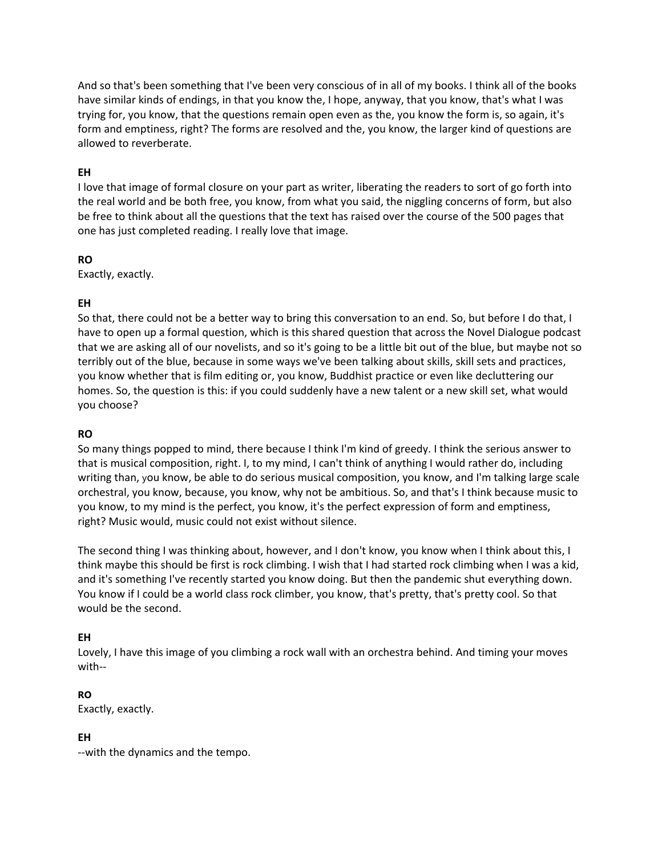And so that's been something that I've been very conscious of in all of my books. I think all of the books have similar kinds of endings, in that you know the, I hope, anyway, that you know, that's what I was trying for, you know, that the questions remain open even as the, you know the form is, so again, it's form and emptiness, right? The forms are resolved and the, you know, the larger kind of questions are allowed to reverberate.

### **EH**

I love that image of formal closure on your part as writer, liberating the readers to sort of go forth into the real world and be both free, you know, from what you said, the niggling concerns of form, but also be free to think about all the questions that the text has raised over the course of the 500 pages that one has just completed reading. I really love that image.

### **RO**

Exactly, exactly.

# **EH**

So that, there could not be a better way to bring this conversation to an end. So, but before I do that, I have to open up a formal question, which is this shared question that across the Novel Dialogue podcast that we are asking all of our novelists, and so it's going to be a little bit out of the blue, but maybe not so terribly out of the blue, because in some ways we've been talking about skills, skill sets and practices, you know whether that is film editing or, you know, Buddhist practice or even like decluttering our homes. So, the question is this: if you could suddenly have a new talent or a new skill set, what would you choose?

### **RO**

So many things popped to mind, there because I think I'm kind of greedy. I think the serious answer to that is musical composition, right. I, to my mind, I can't think of anything I would rather do, including writing than, you know, be able to do serious musical composition, you know, and I'm talking large scale orchestral, you know, because, you know, why not be ambitious. So, and that's I think because music to you know, to my mind is the perfect, you know, it's the perfect expression of form and emptiness, right? Music would, music could not exist without silence.

The second thing I was thinking about, however, and I don't know, you know when I think about this, I think maybe this should be first is rock climbing. I wish that I had started rock climbing when I was a kid, and it's something I've recently started you know doing. But then the pandemic shut everything down. You know if I could be a world class rock climber, you know, that's pretty, that's pretty cool. So that would be the second.

# **EH**

Lovely, I have this image of you climbing a rock wall with an orchestra behind. And timing your moves with--

# **RO**

Exactly, exactly.

# **EH**

--with the dynamics and the tempo.